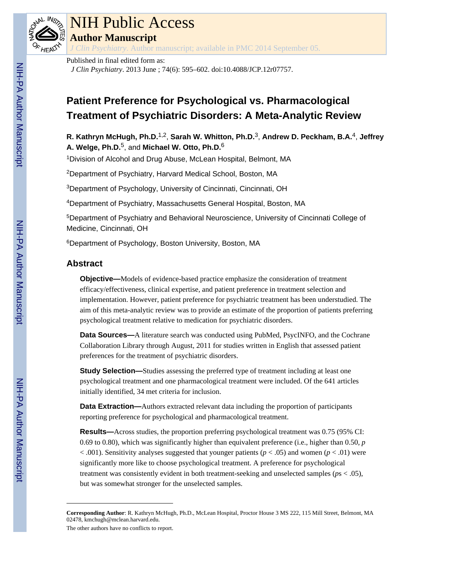

# NIH Public Access

**Author Manuscript**

*J Clin Psychiatry*. Author manuscript; available in PMC 2014 September 05.

Published in final edited form as:

*J Clin Psychiatry*. 2013 June ; 74(6): 595–602. doi:10.4088/JCP.12r07757.

# **Patient Preference for Psychological vs. Pharmacological Treatment of Psychiatric Disorders: A Meta-Analytic Review**

**R. Kathryn McHugh, Ph.D.**1,2, **Sarah W. Whitton, Ph.D.**3, **Andrew D. Peckham, B.A.**4, **Jeffrey A. Welge, Ph.D.**5, and **Michael W. Otto, Ph.D.**<sup>6</sup>

<sup>1</sup>Division of Alcohol and Drug Abuse, McLean Hospital, Belmont, MA

<sup>2</sup>Department of Psychiatry, Harvard Medical School, Boston, MA

<sup>3</sup>Department of Psychology, University of Cincinnati, Cincinnati, OH

<sup>4</sup>Department of Psychiatry, Massachusetts General Hospital, Boston, MA

<sup>5</sup>Department of Psychiatry and Behavioral Neuroscience, University of Cincinnati College of Medicine, Cincinnati, OH

<sup>6</sup>Department of Psychology, Boston University, Boston, MA

# **Abstract**

**Objective—**Models of evidence-based practice emphasize the consideration of treatment efficacy/effectiveness, clinical expertise, and patient preference in treatment selection and implementation. However, patient preference for psychiatric treatment has been understudied. The aim of this meta-analytic review was to provide an estimate of the proportion of patients preferring psychological treatment relative to medication for psychiatric disorders.

**Data Sources—**A literature search was conducted using PubMed, PsycINFO, and the Cochrane Collaboration Library through August, 2011 for studies written in English that assessed patient preferences for the treatment of psychiatric disorders.

**Study Selection—**Studies assessing the preferred type of treatment including at least one psychological treatment and one pharmacological treatment were included. Of the 641 articles initially identified, 34 met criteria for inclusion.

**Data Extraction—**Authors extracted relevant data including the proportion of participants reporting preference for psychological and pharmacological treatment.

**Results—**Across studies, the proportion preferring psychological treatment was 0.75 (95% CI: 0.69 to 0.80), which was significantly higher than equivalent preference (i.e., higher than 0.50, *p*  $< .001$ ). Sensitivity analyses suggested that younger patients ( $p < .05$ ) and women ( $p < .01$ ) were significantly more like to choose psychological treatment. A preference for psychological treatment was consistently evident in both treatment-seeking and unselected samples (*p*s < .05), but was somewhat stronger for the unselected samples.

The other authors have no conflicts to report.

**Corresponding Author**: R. Kathryn McHugh, Ph.D., McLean Hospital, Proctor House 3 MS 222, 115 Mill Street, Belmont, MA 02478, kmchugh@mclean.harvard.edu.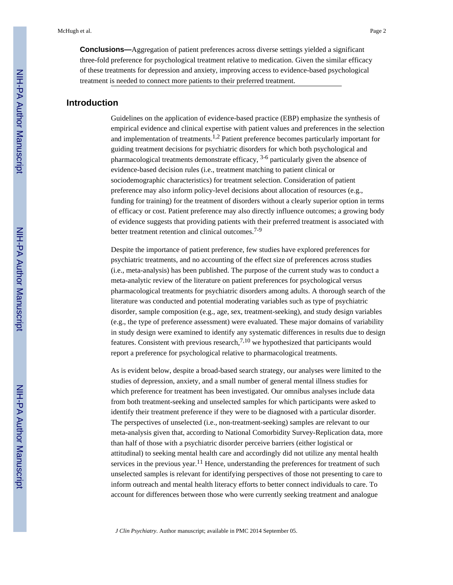**Conclusions—**Aggregation of patient preferences across diverse settings yielded a significant three-fold preference for psychological treatment relative to medication. Given the similar efficacy of these treatments for depression and anxiety, improving access to evidence-based psychological treatment is needed to connect more patients to their preferred treatment.

# **Introduction**

Guidelines on the application of evidence-based practice (EBP) emphasize the synthesis of empirical evidence and clinical expertise with patient values and preferences in the selection and implementation of treatments.1,2 Patient preference becomes particularly important for guiding treatment decisions for psychiatric disorders for which both psychological and pharmacological treatments demonstrate efficacy,  $3-6$  particularly given the absence of evidence-based decision rules (i.e., treatment matching to patient clinical or sociodemographic characteristics) for treatment selection. Consideration of patient preference may also inform policy-level decisions about allocation of resources (e.g., funding for training) for the treatment of disorders without a clearly superior option in terms of efficacy or cost. Patient preference may also directly influence outcomes; a growing body of evidence suggests that providing patients with their preferred treatment is associated with better treatment retention and clinical outcomes.<sup>7-9</sup>

Despite the importance of patient preference, few studies have explored preferences for psychiatric treatments, and no accounting of the effect size of preferences across studies (i.e., meta-analysis) has been published. The purpose of the current study was to conduct a meta-analytic review of the literature on patient preferences for psychological versus pharmacological treatments for psychiatric disorders among adults. A thorough search of the literature was conducted and potential moderating variables such as type of psychiatric disorder, sample composition (e.g., age, sex, treatment-seeking), and study design variables (e.g., the type of preference assessment) were evaluated. These major domains of variability in study design were examined to identify any systematic differences in results due to design features. Consistent with previous research,  $7,10$  we hypothesized that participants would report a preference for psychological relative to pharmacological treatments.

As is evident below, despite a broad-based search strategy, our analyses were limited to the studies of depression, anxiety, and a small number of general mental illness studies for which preference for treatment has been investigated. Our omnibus analyses include data from both treatment-seeking and unselected samples for which participants were asked to identify their treatment preference if they were to be diagnosed with a particular disorder. The perspectives of unselected (i.e., non-treatment-seeking) samples are relevant to our meta-analysis given that, according to National Comorbidity Survey-Replication data, more than half of those with a psychiatric disorder perceive barriers (either logistical or attitudinal) to seeking mental health care and accordingly did not utilize any mental health services in the previous year.<sup>11</sup> Hence, understanding the preferences for treatment of such unselected samples is relevant for identifying perspectives of those not presenting to care to inform outreach and mental health literacy efforts to better connect individuals to care. To account for differences between those who were currently seeking treatment and analogue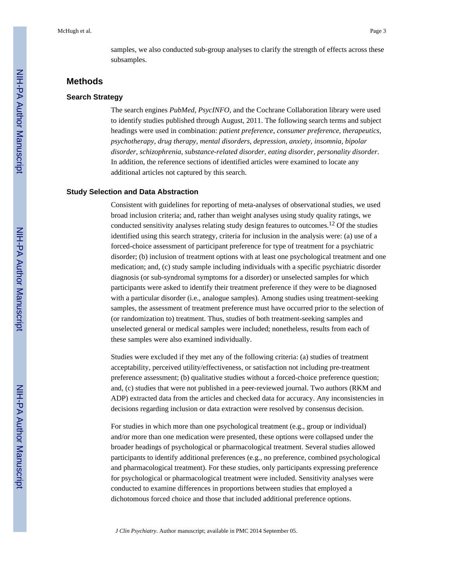samples, we also conducted sub-group analyses to clarify the strength of effects across these subsamples.

# **Methods**

#### **Search Strategy**

The search engines *PubMed*, *PsycINFO*, and the Cochrane Collaboration library were used to identify studies published through August, 2011. The following search terms and subject headings were used in combination: *patient preference*, *consumer preference*, *therapeutics*, *psychotherapy*, *drug therapy*, *mental disorders*, *depression*, *anxiety*, *insomnia*, *bipolar disorder*, *schizophrenia*, *substance-related disorder*, *eating disorder*, *personality disorder*. In addition, the reference sections of identified articles were examined to locate any additional articles not captured by this search.

#### **Study Selection and Data Abstraction**

Consistent with guidelines for reporting of meta-analyses of observational studies, we used broad inclusion criteria; and, rather than weight analyses using study quality ratings, we conducted sensitivity analyses relating study design features to outcomes.12 Of the studies identified using this search strategy, criteria for inclusion in the analysis were: (a) use of a forced-choice assessment of participant preference for type of treatment for a psychiatric disorder; (b) inclusion of treatment options with at least one psychological treatment and one medication; and, (c) study sample including individuals with a specific psychiatric disorder diagnosis (or sub-syndromal symptoms for a disorder) or unselected samples for which participants were asked to identify their treatment preference if they were to be diagnosed with a particular disorder (i.e., analogue samples). Among studies using treatment-seeking samples, the assessment of treatment preference must have occurred prior to the selection of (or randomization to) treatment. Thus, studies of both treatment-seeking samples and unselected general or medical samples were included; nonetheless, results from each of these samples were also examined individually.

Studies were excluded if they met any of the following criteria: (a) studies of treatment acceptability, perceived utility/effectiveness, or satisfaction not including pre-treatment preference assessment; (b) qualitative studies without a forced-choice preference question; and, (c) studies that were not published in a peer-reviewed journal. Two authors (RKM and ADP) extracted data from the articles and checked data for accuracy. Any inconsistencies in decisions regarding inclusion or data extraction were resolved by consensus decision.

For studies in which more than one psychological treatment (e.g., group or individual) and/or more than one medication were presented, these options were collapsed under the broader headings of psychological or pharmacological treatment. Several studies allowed participants to identify additional preferences (e.g., no preference, combined psychological and pharmacological treatment). For these studies, only participants expressing preference for psychological or pharmacological treatment were included. Sensitivity analyses were conducted to examine differences in proportions between studies that employed a dichotomous forced choice and those that included additional preference options.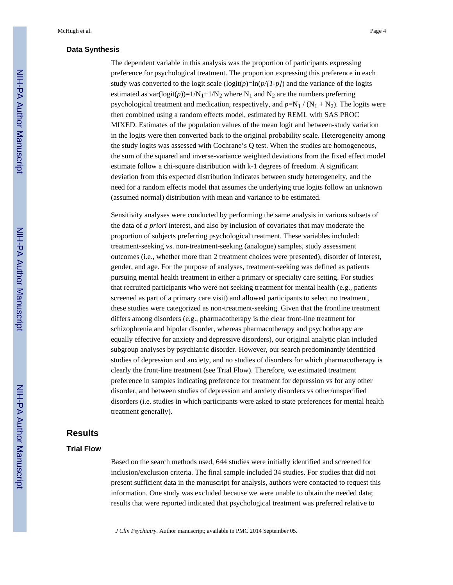#### **Data Synthesis**

The dependent variable in this analysis was the proportion of participants expressing preference for psychological treatment. The proportion expressing this preference in each study was converted to the logit scale  $(\text{logit}(p)=\ln(p/[\text{1}-p])$  and the variance of the logits estimated as  $var(logit(p))=1/N_1+1/N_2$  where N<sub>1</sub> and N<sub>2</sub> are the numbers preferring psychological treatment and medication, respectively, and  $p=N_1/(N_1 + N_2)$ . The logits were then combined using a random effects model, estimated by REML with SAS PROC MIXED. Estimates of the population values of the mean logit and between-study variation in the logits were then converted back to the original probability scale. Heterogeneity among the study logits was assessed with Cochrane's Q test. When the studies are homogeneous, the sum of the squared and inverse-variance weighted deviations from the fixed effect model estimate follow a chi-square distribution with k-1 degrees of freedom. A significant deviation from this expected distribution indicates between study heterogeneity, and the need for a random effects model that assumes the underlying true logits follow an unknown (assumed normal) distribution with mean and variance to be estimated.

Sensitivity analyses were conducted by performing the same analysis in various subsets of the data of *a priori* interest, and also by inclusion of covariates that may moderate the proportion of subjects preferring psychological treatment. These variables included: treatment-seeking vs. non-treatment-seeking (analogue) samples, study assessment outcomes (i.e., whether more than 2 treatment choices were presented), disorder of interest, gender, and age. For the purpose of analyses, treatment-seeking was defined as patients pursuing mental health treatment in either a primary or specialty care setting. For studies that recruited participants who were not seeking treatment for mental health (e.g., patients screened as part of a primary care visit) and allowed participants to select no treatment, these studies were categorized as non-treatment-seeking. Given that the frontline treatment differs among disorders (e.g., pharmacotherapy is the clear front-line treatment for schizophrenia and bipolar disorder, whereas pharmacotherapy and psychotherapy are equally effective for anxiety and depressive disorders), our original analytic plan included subgroup analyses by psychiatric disorder. However, our search predominantly identified studies of depression and anxiety, and no studies of disorders for which pharmacotherapy is clearly the front-line treatment (see Trial Flow). Therefore, we estimated treatment preference in samples indicating preference for treatment for depression vs for any other disorder, and between studies of depression and anxiety disorders vs other/unspecified disorders (i.e. studies in which participants were asked to state preferences for mental health treatment generally).

# **Results**

## **Trial Flow**

Based on the search methods used, 644 studies were initially identified and screened for inclusion/exclusion criteria. The final sample included 34 studies. For studies that did not present sufficient data in the manuscript for analysis, authors were contacted to request this information. One study was excluded because we were unable to obtain the needed data; results that were reported indicated that psychological treatment was preferred relative to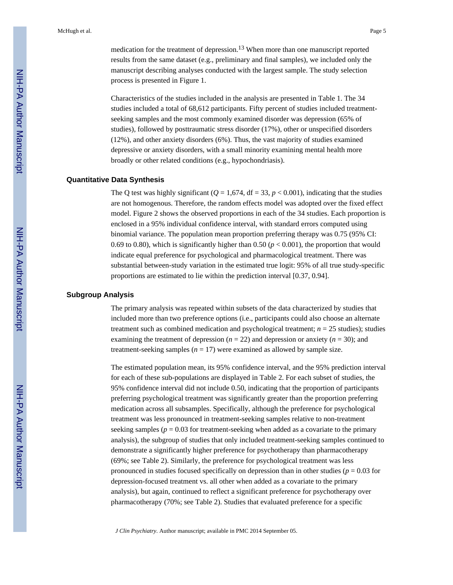medication for the treatment of depression.<sup>13</sup> When more than one manuscript reported results from the same dataset (e.g., preliminary and final samples), we included only the manuscript describing analyses conducted with the largest sample. The study selection process is presented in Figure 1.

Characteristics of the studies included in the analysis are presented in Table 1. The 34 studies included a total of 68,612 participants. Fifty percent of studies included treatmentseeking samples and the most commonly examined disorder was depression (65% of studies), followed by posttraumatic stress disorder (17%), other or unspecified disorders (12%), and other anxiety disorders (6%). Thus, the vast majority of studies examined depressive or anxiety disorders, with a small minority examining mental health more broadly or other related conditions (e.g., hypochondriasis).

#### **Quantitative Data Synthesis**

The Q test was highly significant ( $Q = 1.674$ , df = 33,  $p < 0.001$ ), indicating that the studies are not homogenous. Therefore, the random effects model was adopted over the fixed effect model. Figure 2 shows the observed proportions in each of the 34 studies. Each proportion is enclosed in a 95% individual confidence interval, with standard errors computed using binomial variance. The population mean proportion preferring therapy was 0.75 (95% CI: 0.69 to 0.80), which is significantly higher than 0.50 ( $p < 0.001$ ), the proportion that would indicate equal preference for psychological and pharmacological treatment. There was substantial between-study variation in the estimated true logit: 95% of all true study-specific proportions are estimated to lie within the prediction interval [0.37, 0.94].

#### **Subgroup Analysis**

The primary analysis was repeated within subsets of the data characterized by studies that included more than two preference options (i.e., participants could also choose an alternate treatment such as combined medication and psychological treatment;  $n = 25$  studies); studies examining the treatment of depression  $(n = 22)$  and depression or anxiety  $(n = 30)$ ; and treatment-seeking samples  $(n = 17)$  were examined as allowed by sample size.

The estimated population mean, its 95% confidence interval, and the 95% prediction interval for each of these sub-populations are displayed in Table 2. For each subset of studies, the 95% confidence interval did not include 0.50, indicating that the proportion of participants preferring psychological treatment was significantly greater than the proportion preferring medication across all subsamples. Specifically, although the preference for psychological treatment was less pronounced in treatment-seeking samples relative to non-treatment seeking samples ( $p = 0.03$  for treatment-seeking when added as a covariate to the primary analysis), the subgroup of studies that only included treatment-seeking samples continued to demonstrate a significantly higher preference for psychotherapy than pharmacotherapy (69%; see Table 2). Similarly, the preference for psychological treatment was less pronounced in studies focused specifically on depression than in other studies ( $p = 0.03$  for depression-focused treatment vs. all other when added as a covariate to the primary analysis), but again, continued to reflect a significant preference for psychotherapy over pharmacotherapy (70%; see Table 2). Studies that evaluated preference for a specific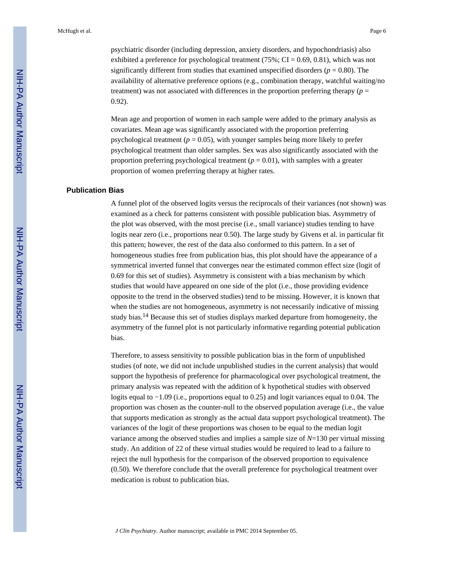psychiatric disorder (including depression, anxiety disorders, and hypochondriasis) also exhibited a preference for psychological treatment (75%;  $CI = 0.69, 0.81$ ), which was not significantly different from studies that examined unspecified disorders  $(p = 0.80)$ . The availability of alternative preference options (e.g., combination therapy, watchful waiting/no treatment) was not associated with differences in the proportion preferring therapy ( $p =$ 

0.92).

Mean age and proportion of women in each sample were added to the primary analysis as covariates. Mean age was significantly associated with the proportion preferring psychological treatment ( $p = 0.05$ ), with younger samples being more likely to prefer psychological treatment than older samples. Sex was also significantly associated with the proportion preferring psychological treatment  $(p = 0.01)$ , with samples with a greater proportion of women preferring therapy at higher rates.

#### **Publication Bias**

A funnel plot of the observed logits versus the reciprocals of their variances (not shown) was examined as a check for patterns consistent with possible publication bias. Asymmetry of the plot was observed, with the most precise (i.e., small variance) studies tending to have logits near zero (i.e., proportions near 0.50). The large study by Givens et al. in particular fit this pattern; however, the rest of the data also conformed to this pattern. In a set of homogeneous studies free from publication bias, this plot should have the appearance of a symmetrical inverted funnel that converges near the estimated common effect size (logit of 0.69 for this set of studies). Asymmetry is consistent with a bias mechanism by which studies that would have appeared on one side of the plot (i.e., those providing evidence opposite to the trend in the observed studies) tend to be missing. However, it is known that when the studies are not homogeneous, asymmetry is not necessarily indicative of missing study bias.<sup>14</sup> Because this set of studies displays marked departure from homogeneity, the asymmetry of the funnel plot is not particularly informative regarding potential publication bias.

Therefore, to assess sensitivity to possible publication bias in the form of unpublished studies (of note, we did not include unpublished studies in the current analysis) that would support the hypothesis of preference for pharmacological over psychological treatment, the primary analysis was repeated with the addition of k hypothetical studies with observed logits equal to −1.09 (i.e., proportions equal to 0.25) and logit variances equal to 0.04. The proportion was chosen as the counter-null to the observed population average (i.e., the value that supports medication as strongly as the actual data support psychological treatment). The variances of the logit of these proportions was chosen to be equal to the median logit variance among the observed studies and implies a sample size of *N*=130 per virtual missing study. An addition of 22 of these virtual studies would be required to lead to a failure to reject the null hypothesis for the comparison of the observed proportion to equivalence (0.50). We therefore conclude that the overall preference for psychological treatment over medication is robust to publication bias.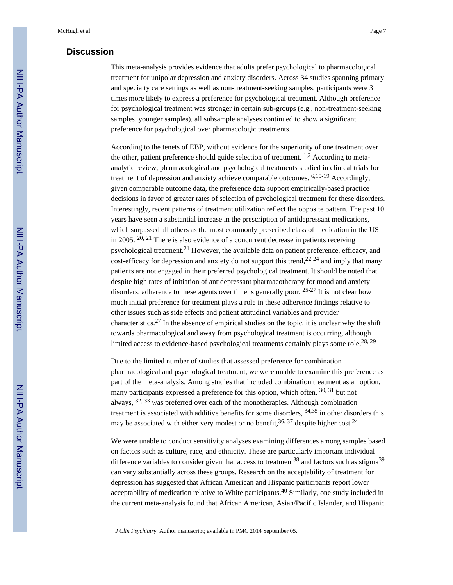# **Discussion**

This meta-analysis provides evidence that adults prefer psychological to pharmacological treatment for unipolar depression and anxiety disorders. Across 34 studies spanning primary and specialty care settings as well as non-treatment-seeking samples, participants were 3 times more likely to express a preference for psychological treatment. Although preference for psychological treatment was stronger in certain sub-groups (e.g., non-treatment-seeking samples, younger samples), all subsample analyses continued to show a significant preference for psychological over pharmacologic treatments.

According to the tenets of EBP, without evidence for the superiority of one treatment over the other, patient preference should guide selection of treatment.  $1,2$  According to metaanalytic review, pharmacological and psychological treatments studied in clinical trials for treatment of depression and anxiety achieve comparable outcomes. 6,15-19 Accordingly, given comparable outcome data, the preference data support empirically-based practice decisions in favor of greater rates of selection of psychological treatment for these disorders. Interestingly, recent patterns of treatment utilization reflect the opposite pattern. The past 10 years have seen a substantial increase in the prescription of antidepressant medications, which surpassed all others as the most commonly prescribed class of medication in the US in 2005. 20, 21 There is also evidence of a concurrent decrease in patients receiving psychological treatment.<sup>21</sup> However, the available data on patient preference, efficacy, and cost-efficacy for depression and anxiety do not support this trend,  $2^{2-24}$  and imply that many patients are not engaged in their preferred psychological treatment. It should be noted that despite high rates of initiation of antidepressant pharmacotherapy for mood and anxiety disorders, adherence to these agents over time is generally poor. <sup>25-27</sup> It is not clear how much initial preference for treatment plays a role in these adherence findings relative to other issues such as side effects and patient attitudinal variables and provider characteristics.<sup>27</sup> In the absence of empirical studies on the topic, it is unclear why the shift towards pharmacological and away from psychological treatment is occurring, although limited access to evidence-based psychological treatments certainly plays some role.<sup>28, 29</sup>

Due to the limited number of studies that assessed preference for combination pharmacological and psychological treatment, we were unable to examine this preference as part of the meta-analysis. Among studies that included combination treatment as an option, many participants expressed a preference for this option, which often, <sup>30, 31</sup> but not always, 32, 33 was preferred over each of the monotherapies. Although combination treatment is associated with additive benefits for some disorders,  $34,35$  in other disorders this may be associated with either very modest or no benefit,  $36, 37$  despite higher cost.<sup>24</sup>

We were unable to conduct sensitivity analyses examining differences among samples based on factors such as culture, race, and ethnicity. These are particularly important individual difference variables to consider given that access to treatment<sup>38</sup> and factors such as stigma<sup>39</sup> can vary substantially across these groups. Research on the acceptability of treatment for depression has suggested that African American and Hispanic participants report lower acceptability of medication relative to White participants.<sup>40</sup> Similarly, one study included in the current meta-analysis found that African American, Asian/Pacific Islander, and Hispanic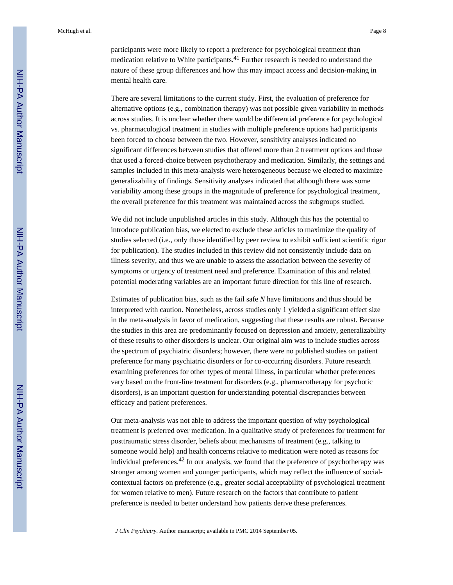participants were more likely to report a preference for psychological treatment than medication relative to White participants.<sup>41</sup> Further research is needed to understand the nature of these group differences and how this may impact access and decision-making in mental health care.

There are several limitations to the current study. First, the evaluation of preference for alternative options (e.g., combination therapy) was not possible given variability in methods across studies. It is unclear whether there would be differential preference for psychological vs. pharmacological treatment in studies with multiple preference options had participants been forced to choose between the two. However, sensitivity analyses indicated no significant differences between studies that offered more than 2 treatment options and those that used a forced-choice between psychotherapy and medication. Similarly, the settings and samples included in this meta-analysis were heterogeneous because we elected to maximize generalizability of findings. Sensitivity analyses indicated that although there was some variability among these groups in the magnitude of preference for psychological treatment, the overall preference for this treatment was maintained across the subgroups studied.

We did not include unpublished articles in this study. Although this has the potential to introduce publication bias, we elected to exclude these articles to maximize the quality of studies selected (i.e., only those identified by peer review to exhibit sufficient scientific rigor for publication). The studies included in this review did not consistently include data on illness severity, and thus we are unable to assess the association between the severity of symptoms or urgency of treatment need and preference. Examination of this and related potential moderating variables are an important future direction for this line of research.

Estimates of publication bias, such as the fail safe *N* have limitations and thus should be interpreted with caution. Nonetheless, across studies only 1 yielded a significant effect size in the meta-analysis in favor of medication, suggesting that these results are robust. Because the studies in this area are predominantly focused on depression and anxiety, generalizability of these results to other disorders is unclear. Our original aim was to include studies across the spectrum of psychiatric disorders; however, there were no published studies on patient preference for many psychiatric disorders or for co-occurring disorders. Future research examining preferences for other types of mental illness, in particular whether preferences vary based on the front-line treatment for disorders (e.g., pharmacotherapy for psychotic disorders), is an important question for understanding potential discrepancies between efficacy and patient preferences.

Our meta-analysis was not able to address the important question of why psychological treatment is preferred over medication. In a qualitative study of preferences for treatment for posttraumatic stress disorder, beliefs about mechanisms of treatment (e.g., talking to someone would help) and health concerns relative to medication were noted as reasons for individual preferences.<sup>42</sup> In our analysis, we found that the preference of psychotherapy was stronger among women and younger participants, which may reflect the influence of socialcontextual factors on preference (e.g., greater social acceptability of psychological treatment for women relative to men). Future research on the factors that contribute to patient preference is needed to better understand how patients derive these preferences.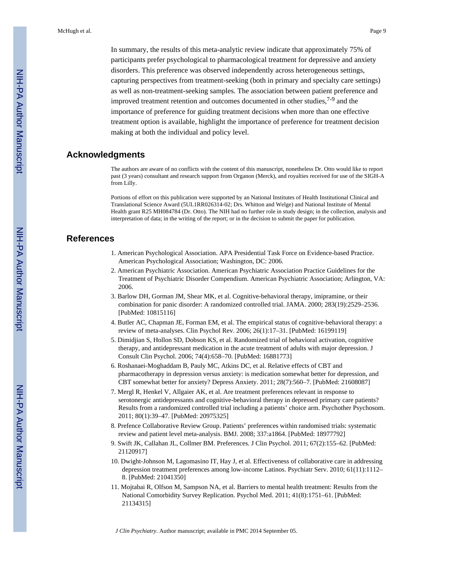In summary, the results of this meta-analytic review indicate that approximately 75% of participants prefer psychological to pharmacological treatment for depressive and anxiety disorders. This preference was observed independently across heterogeneous settings, capturing perspectives from treatment-seeking (both in primary and specialty care settings) as well as non-treatment-seeking samples. The association between patient preference and improved treatment retention and outcomes documented in other studies,  $7-9$  and the importance of preference for guiding treatment decisions when more than one effective treatment option is available, highlight the importance of preference for treatment decision making at both the individual and policy level.

#### **Acknowledgments**

The authors are aware of no conflicts with the content of this manuscript, nonetheless Dr. Otto would like to report past (3 years) consultant and research support from Organon (Merck), and royalties received for use of the SIGH-A from Lilly.

Portions of effort on this publication were supported by an National Institutes of Health Institutional Clinical and Translational Science Award (5UL1RR026314-02; Drs. Whitton and Welge) and National Institute of Mental Health grant R25 MH084784 (Dr. Otto). The NIH had no further role in study design; in the collection, analysis and interpretation of data; in the writing of the report; or in the decision to submit the paper for publication.

# **References**

- 1. American Psychological Association. APA Presidential Task Force on Evidence-based Practice. American Psychological Association; Washington, DC: 2006.
- 2. American Psychiatric Association. American Psychiatric Association Practice Guidelines for the Treatment of Psychiatric Disorder Compendium. American Psychiatric Association; Arlington, VA: 2006.
- 3. Barlow DH, Gorman JM, Shear MK, et al. Cognitive-behavioral therapy, imipramine, or their combination for panic disorder: A randomized controlled trial. JAMA. 2000; 283(19):2529–2536. [PubMed: 10815116]
- 4. Butler AC, Chapman JE, Forman EM, et al. The empirical status of cognitive-behavioral therapy: a review of meta-analyses. Clin Psychol Rev. 2006; 26(1):17–31. [PubMed: 16199119]
- 5. Dimidjian S, Hollon SD, Dobson KS, et al. Randomized trial of behavioral activation, cognitive therapy, and antidepressant medication in the acute treatment of adults with major depression. J Consult Clin Psychol. 2006; 74(4):658–70. [PubMed: 16881773]
- 6. Roshanaei-Moghaddam B, Pauly MC, Atkins DC, et al. Relative effects of CBT and pharmacotherapy in depression versus anxiety: is medication somewhat better for depression, and CBT somewhat better for anxiety? Depress Anxiety. 2011; 28(7):560–7. [PubMed: 21608087]
- 7. Mergl R, Henkel V, Allgaier AK, et al. Are treatment preferences relevant in response to serotonergic antidepressants and cognitive-behavioral therapy in depressed primary care patients? Results from a randomized controlled trial including a patients' choice arm. Psychother Psychosom. 2011; 80(1):39–47. [PubMed: 20975325]
- 8. Prefence Collaborative Review Group. Patients' preferences within randomised trials: systematic review and patient level meta-analysis. BMJ. 2008; 337:a1864. [PubMed: 18977792]
- 9. Swift JK, Callahan JL, Collmer BM. Preferences. J Clin Psychol. 2011; 67(2):155–62. [PubMed: 21120917]
- 10. Dwight-Johnson M, Lagomasino IT, Hay J, et al. Effectiveness of collaborative care in addressing depression treatment preferences among low-income Latinos. Psychiatr Serv. 2010; 61(11):1112– 8. [PubMed: 21041350]
- 11. Mojtabai R, Olfson M, Sampson NA, et al. Barriers to mental health treatment: Results from the National Comorbidity Survey Replication. Psychol Med. 2011; 41(8):1751–61. [PubMed: 21134315]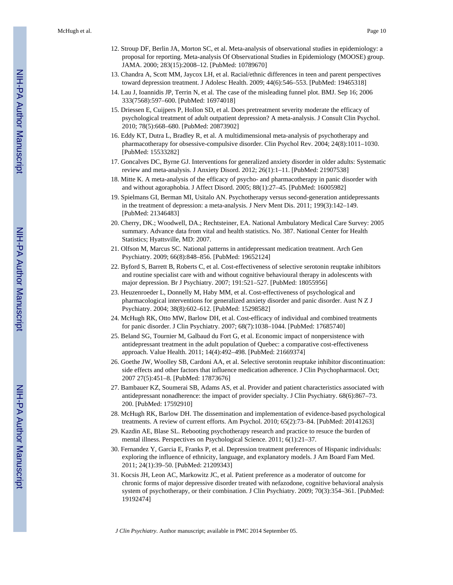- 12. Stroup DF, Berlin JA, Morton SC, et al. Meta-analysis of observational studies in epidemiology: a proposal for reporting. Meta-analysis Of Observational Studies in Epidemiology (MOOSE) group. JAMA. 2000; 283(15):2008–12. [PubMed: 10789670]
- 13. Chandra A, Scott MM, Jaycox LH, et al. Racial/ethnic differences in teen and parent perspectives toward depression treatment. J Adolesc Health. 2009; 44(6):546–553. [PubMed: 19465318]
- 14. Lau J, Ioannidis JP, Terrin N, et al. The case of the misleading funnel plot. BMJ. Sep 16; 2006 333(7568):597–600. [PubMed: 16974018]
- 15. Driessen E, Cuijpers P, Hollon SD, et al. Does pretreatment severity moderate the efficacy of psychological treatment of adult outpatient depression? A meta-analysis. J Consult Clin Psychol. 2010; 78(5):668–680. [PubMed: 20873902]
- 16. Eddy KT, Dutra L, Bradley R, et al. A multidimensional meta-analysis of psychotherapy and pharmacotherapy for obsessive-compulsive disorder. Clin Psychol Rev. 2004; 24(8):1011–1030. [PubMed: 15533282]
- 17. Goncalves DC, Byrne GJ. Interventions for generalized anxiety disorder in older adults: Systematic review and meta-analysis. J Anxiety Disord. 2012; 26(1):1–11. [PubMed: 21907538]
- 18. Mitte K. A meta-analysis of the efficacy of psycho- and pharmacotherapy in panic disorder with and without agoraphobia. J Affect Disord. 2005; 88(1):27–45. [PubMed: 16005982]
- 19. Spielmans GI, Berman MI, Usitalo AN. Psychotherapy versus second-generation antidepressants in the treatment of depression: a meta-analysis. J Nerv Ment Dis. 2011; 199(3):142–149. [PubMed: 21346483]
- 20. Cherry, DK.; Woodwell, DA.; Rechtsteiner, EA. National Ambulatory Medical Care Survey: 2005 summary. Advance data from vital and health statistics. No. 387. National Center for Health Statistics; Hyattsville, MD: 2007.
- 21. Olfson M, Marcus SC. National patterns in antidepressant medication treatment. Arch Gen Psychiatry. 2009; 66(8):848–856. [PubMed: 19652124]
- 22. Byford S, Barrett B, Roberts C, et al. Cost-effectiveness of selective serotonin reuptake inhibitors and routine specialist care with and without cognitive behavioural therapy in adolescents with major depression. Br J Psychiatry. 2007; 191:521–527. [PubMed: 18055956]
- 23. Heuzenroeder L, Donnelly M, Haby MM, et al. Cost-effectiveness of psychological and pharmacological interventions for generalized anxiety disorder and panic disorder. Aust N Z J Psychiatry. 2004; 38(8):602–612. [PubMed: 15298582]
- 24. McHugh RK, Otto MW, Barlow DH, et al. Cost-efficacy of individual and combined treatments for panic disorder. J Clin Psychiatry. 2007; 68(7):1038–1044. [PubMed: 17685740]
- 25. Beland SG, Tournier M, Galbaud du Fort G, et al. Economic impact of nonpersistence with antidepressant treatment in the adult population of Quebec: a comparative cost-effectiveness approach. Value Health. 2011; 14(4):492–498. [PubMed: 21669374]
- 26. Goethe JW, Woolley SB, Cardoni AA, et al. Selective serotonin reuptake inhibitor discontinuation: side effects and other factors that influence medication adherence. J Clin Psychopharmacol. Oct; 2007 27(5):451–8. [PubMed: 17873676]
- 27. Bambauer KZ, Soumerai SB, Adams AS, et al. Provider and patient characteristics associated with antidepressant nonadherence: the impact of provider specialty. J Clin Psychiatry. 68(6):867–73. 200. [PubMed: 17592910]
- 28. McHugh RK, Barlow DH. The dissemination and implementation of evidence-based psychological treatments. A review of current efforts. Am Psychol. 2010; 65(2):73–84. [PubMed: 20141263]
- 29. Kazdin AE, Blase SL. Rebooting psychotherapy research and practice to resuce the burden of mental illness. Perspectives on Psychological Science. 2011; 6(1):21–37.
- 30. Fernandez Y, Garcia E, Franks P, et al. Depression treatment preferences of Hispanic individuals: exploring the influence of ethnicity, language, and explanatory models. J Am Board Fam Med. 2011; 24(1):39–50. [PubMed: 21209343]
- 31. Kocsis JH, Leon AC, Markowitz JC, et al. Patient preference as a moderator of outcome for chronic forms of major depressive disorder treated with nefazodone, cognitive behavioral analysis system of psychotherapy, or their combination. J Clin Psychiatry. 2009; 70(3):354–361. [PubMed: 19192474]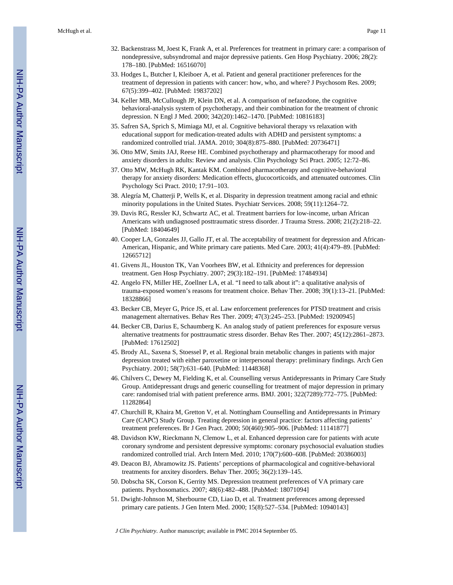- 32. Backenstrass M, Joest K, Frank A, et al. Preferences for treatment in primary care: a comparison of nondepressive, subsyndromal and major depressive patients. Gen Hosp Psychiatry. 2006; 28(2): 178–180. [PubMed: 16516070]
- 33. Hodges L, Butcher I, Kleiboer A, et al. Patient and general practitioner preferences for the treatment of depression in patients with cancer: how, who, and where? J Psychosom Res. 2009; 67(5):399–402. [PubMed: 19837202]
- 34. Keller MB, McCullough JP, Klein DN, et al. A comparison of nefazodone, the cognitive behavioral-analysis system of psychotherapy, and their combination for the treatment of chronic depression. N Engl J Med. 2000; 342(20):1462–1470. [PubMed: 10816183]
- 35. Safren SA, Sprich S, Mimiaga MJ, et al. Cognitive behavioral therapy vs relaxation with educational support for medication-treated adults with ADHD and persistent symptoms: a randomized controlled trial. JAMA. 2010; 304(8):875–880. [PubMed: 20736471]
- 36. Otto MW, Smits JAJ, Reese HE. Combined psychotherapy and pharmacotherapy for mood and anxiety disorders in adults: Review and analysis. Clin Psychology Sci Pract. 2005; 12:72–86.
- 37. Otto MW, McHugh RK, Kantak KM. Combined pharmacotherapy and cognitive-behavioral therapy for anxiety disorders: Medication effects, glucocorticoids, and attenuated outcomes. Clin Psychology Sci Pract. 2010; 17:91–103.
- 38. Alegría M, Chatterji P, Wells K, et al. Disparity in depression treatment among racial and ethnic minority populations in the United States. Psychiatr Services. 2008; 59(11):1264–72.
- 39. Davis RG, Ressler KJ, Schwartz AC, et al. Treatment barriers for low-income, urban African Americans with undiagnosed posttraumatic stress disorder. J Trauma Stress. 2008; 21(2):218–22. [PubMed: 18404649]
- 40. Cooper LA, Gonzales JJ, Gallo JT, et al. The acceptability of treatment for depression and African-American, Hispanic, and White primary care patients. Med Care. 2003; 41(4):479–89. [PubMed: 12665712]
- 41. Givens JL, Houston TK, Van Voorhees BW, et al. Ethnicity and preferences for depression treatment. Gen Hosp Psychiatry. 2007; 29(3):182–191. [PubMed: 17484934]
- 42. Angelo FN, Miller HE, Zoellner LA, et al. "I need to talk about it": a qualitative analysis of trauma-exposed women's reasons for treatment choice. Behav Ther. 2008; 39(1):13–21. [PubMed: 18328866]
- 43. Becker CB, Meyer G, Price JS, et al. Law enforcement preferences for PTSD treatment and crisis management alternatives. Behav Res Ther. 2009; 47(3):245–253. [PubMed: 19200945]
- 44. Becker CB, Darius E, Schaumberg K. An analog study of patient preferences for exposure versus alternative treatments for posttraumatic stress disorder. Behav Res Ther. 2007; 45(12):2861–2873. [PubMed: 17612502]
- 45. Brody AL, Saxena S, Stoessel P, et al. Regional brain metabolic changes in patients with major depression treated with either paroxetine or interpersonal therapy: preliminary findings. Arch Gen Psychiatry. 2001; 58(7):631–640. [PubMed: 11448368]
- 46. Chilvers C, Dewey M, Fielding K, et al. Counselling versus Antidepressants in Primary Care Study Group. Antidepressant drugs and generic counselling for treatment of major depression in primary care: randomised trial with patient preference arms. BMJ. 2001; 322(7289):772–775. [PubMed: 11282864]
- 47. Churchill R, Khaira M, Gretton V, et al. Nottingham Counselling and Antidepressants in Primary Care (CAPC) Study Group. Treating depression in general practice: factors affecting patients' treatment preferences. Br J Gen Pract. 2000; 50(460):905–906. [PubMed: 11141877]
- 48. Davidson KW, Rieckmann N, Clemow L, et al. Enhanced depression care for patients with acute coronary syndrome and persistent depressive symptoms: coronary psychosocial evaluation studies randomized controlled trial. Arch Intern Med. 2010; 170(7):600–608. [PubMed: 20386003]
- 49. Deacon BJ, Abramowitz JS. Patients' perceptions of pharmacological and cognitive-behavioral treatments for anxitey disorders. Behav Ther. 2005; 36(2):139–145.
- 50. Dobscha SK, Corson K, Gerrity MS. Depression treatment preferences of VA primary care patients. Psychosomatics. 2007; 48(6):482–488. [PubMed: 18071094]
- 51. Dwight-Johnson M, Sherbourne CD, Liao D, et al. Treatment preferences among depressed primary care patients. J Gen Intern Med. 2000; 15(8):527–534. [PubMed: 10940143]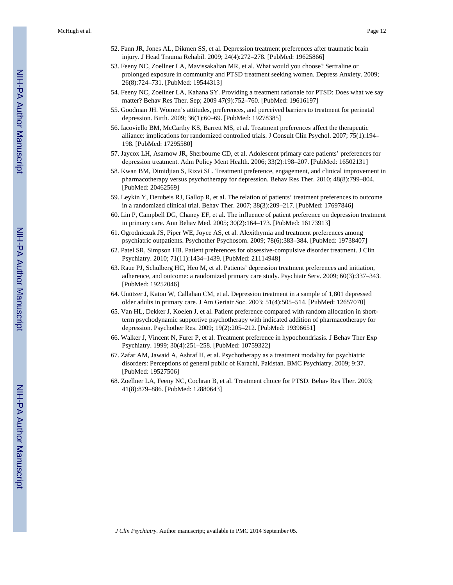- 52. Fann JR, Jones AL, Dikmen SS, et al. Depression treatment preferences after traumatic brain injury. J Head Trauma Rehabil. 2009; 24(4):272–278. [PubMed: 19625866]
- 53. Feeny NC, Zoellner LA, Mavissakalian MR, et al. What would you choose? Sertraline or prolonged exposure in community and PTSD treatment seeking women. Depress Anxiety. 2009; 26(8):724–731. [PubMed: 19544313]
- 54. Feeny NC, Zoellner LA, Kahana SY. Providing a treatment rationale for PTSD: Does what we say matter? Behav Res Ther. Sep; 2009 47(9):752–760. [PubMed: 19616197]
- 55. Goodman JH. Women's attitudes, preferences, and perceived barriers to treatment for perinatal depression. Birth. 2009; 36(1):60–69. [PubMed: 19278385]
- 56. Iacoviello BM, McCarthy KS, Barrett MS, et al. Treatment preferences affect the therapeutic alliance: implications for randomized controlled trials. J Consult Clin Psychol. 2007; 75(1):194– 198. [PubMed: 17295580]
- 57. Jaycox LH, Asarnow JR, Sherbourne CD, et al. Adolescent primary care patients' preferences for depression treatment. Adm Policy Ment Health. 2006; 33(2):198–207. [PubMed: 16502131]
- 58. Kwan BM, Dimidjian S, Rizvi SL. Treatment preference, engagement, and clinical improvement in pharmacotherapy versus psychotherapy for depression. Behav Res Ther. 2010; 48(8):799–804. [PubMed: 20462569]
- 59. Leykin Y, Derubeis RJ, Gallop R, et al. The relation of patients' treatment preferences to outcome in a randomized clinical trial. Behav Ther. 2007; 38(3):209–217. [PubMed: 17697846]
- 60. Lin P, Campbell DG, Chaney EF, et al. The influence of patient preference on depression treatment in primary care. Ann Behav Med. 2005; 30(2):164–173. [PubMed: 16173913]
- 61. Ogrodniczuk JS, Piper WE, Joyce AS, et al. Alexithymia and treatment preferences among psychiatric outpatients. Psychother Psychosom. 2009; 78(6):383–384. [PubMed: 19738407]
- 62. Patel SR, Simpson HB. Patient preferences for obsessive-compulsive disorder treatment. J Clin Psychiatry. 2010; 71(11):1434–1439. [PubMed: 21114948]
- 63. Raue PJ, Schulberg HC, Heo M, et al. Patients' depression treatment preferences and initiation, adherence, and outcome: a randomized primary care study. Psychiatr Serv. 2009; 60(3):337–343. [PubMed: 19252046]
- 64. Unützer J, Katon W, Callahan CM, et al. Depression treatment in a sample of 1,801 depressed older adults in primary care. J Am Geriatr Soc. 2003; 51(4):505–514. [PubMed: 12657070]
- 65. Van HL, Dekker J, Koelen J, et al. Patient preference compared with random allocation in shortterm psychodynamic supportive psychotherapy with indicated addition of pharmacotherapy for depression. Psychother Res. 2009; 19(2):205–212. [PubMed: 19396651]
- 66. Walker J, Vincent N, Furer P, et al. Treatment preference in hypochondriasis. J Behav Ther Exp Psychiatry. 1999; 30(4):251–258. [PubMed: 10759322]
- 67. Zafar AM, Jawaid A, Ashraf H, et al. Psychotherapy as a treatment modality for psychiatric disorders: Perceptions of general public of Karachi, Pakistan. BMC Psychiatry. 2009; 9:37. [PubMed: 19527506]
- 68. Zoellner LA, Feeny NC, Cochran B, et al. Treatment choice for PTSD. Behav Res Ther. 2003; 41(8):879–886. [PubMed: 12880643]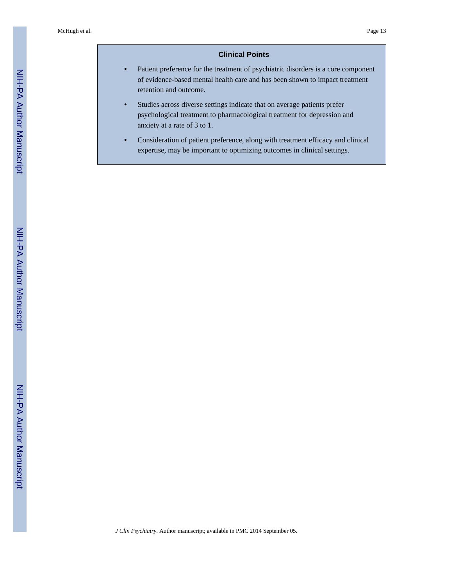# **Clinical Points**

- **•** Patient preference for the treatment of psychiatric disorders is a core component of evidence-based mental health care and has been shown to impact treatment retention and outcome.
- **•** Studies across diverse settings indicate that on average patients prefer psychological treatment to pharmacological treatment for depression and anxiety at a rate of 3 to 1.
- **•** Consideration of patient preference, along with treatment efficacy and clinical expertise, may be important to optimizing outcomes in clinical settings.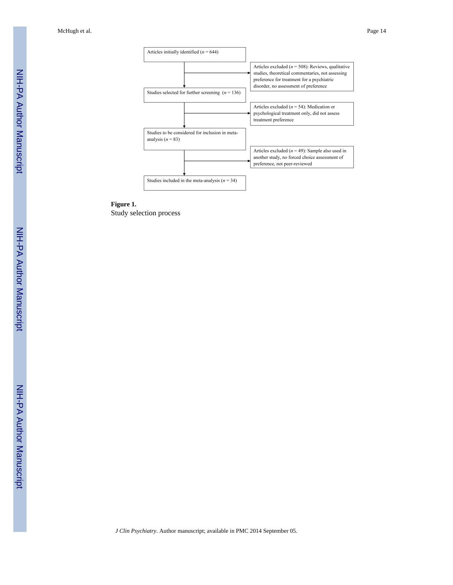McHugh et al. Page 14



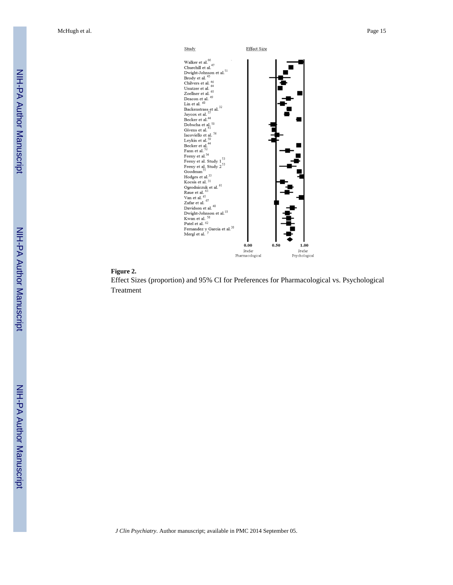McHugh et al. Page 15



#### **Figure 2.**

Effect Sizes (proportion) and 95% CI for Preferences for Pharmacological vs. Psychological Treatment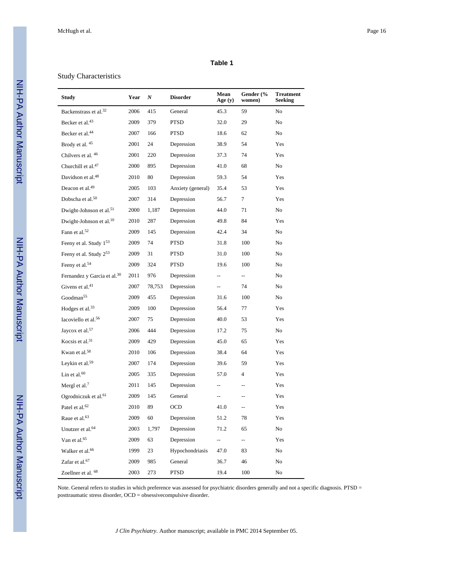#### **Table 1**

# Study Characteristics

| <b>Study</b>                            | Year | N      | <b>Disorder</b>   | Mean<br>Age $(y)$        | Gender (%<br>women)      | <b>Treatment</b><br><b>Seeking</b> |
|-----------------------------------------|------|--------|-------------------|--------------------------|--------------------------|------------------------------------|
| Backenstrass et al. <sup>32</sup>       | 2006 | 415    | General           | 45.3                     | 59                       | No                                 |
| Becker et al. <sup>43</sup>             | 2009 | 379    | <b>PTSD</b>       | 32.0                     | 29                       | No                                 |
| Becker et al. <sup>44</sup>             | 2007 | 166    | <b>PTSD</b>       | 18.6                     | 62                       | No                                 |
| Brody et al. 45                         | 2001 | 24     | Depression        | 38.9                     | 54                       | Yes                                |
| Chilvers et al. 46                      | 2001 | 220    | Depression        | 37.3                     | 74                       | Yes                                |
| Churchill et al. <sup>47</sup>          | 2000 | 895    | Depression        | 41.0                     | 68                       | No                                 |
| Davidson et al. <sup>48</sup>           | 2010 | 80     | Depression        | 59.3                     | 54                       | Yes                                |
| Deacon et al. <sup>49</sup>             | 2005 | 103    | Anxiety (general) | 35.4                     | 53                       | Yes                                |
| Dobscha et al. <sup>50</sup>            | 2007 | 314    | Depression        | 56.7                     | 7                        | Yes                                |
| Dwight-Johnson et al. <sup>51</sup>     | 2000 | 1,187  | Depression        | 44.0                     | 71                       | No                                 |
| Dwight-Johnson et al. <sup>10</sup>     | 2010 | 287    | Depression        | 49.8                     | 84                       | Yes                                |
| Fann et al. $52$                        | 2009 | 145    | Depression        | 42.4                     | 34                       | No                                 |
| Feeny et al. Study 153                  | 2009 | 74     | <b>PTSD</b>       | 31.8                     | 100                      | No                                 |
| Feeny et al. Study 253                  | 2009 | 31     | <b>PTSD</b>       | 31.0                     | 100                      | No                                 |
| Feeny et al. <sup>54</sup>              | 2009 | 324    | <b>PTSD</b>       | 19.6                     | 100                      | No                                 |
| Fernandez y Garcia et al. <sup>30</sup> | 2011 | 976    | Depression        | $\overline{\phantom{a}}$ | --                       | No                                 |
| Givens et al. $41$                      | 2007 | 78,753 | Depression        | Щ.                       | 74                       | No                                 |
| Goodman <sup>55</sup>                   | 2009 | 455    | Depression        | 31.6                     | 100                      | No                                 |
| Hodges et al. <sup>33</sup>             | 2009 | 100    | Depression        | 56.4                     | 77                       | Yes                                |
| Iacoviello et al. <sup>56</sup>         | 2007 | 75     | Depression        | 40.0                     | 53                       | Yes                                |
| Jaycox et al. <sup>57</sup>             | 2006 | 444    | Depression        | 17.2                     | 75                       | No                                 |
| Kocsis et al. <sup>31</sup>             | 2009 | 429    | Depression        | 45.0                     | 65                       | Yes                                |
| Kwan et al. <sup>58</sup>               | 2010 | 106    | Depression        | 38.4                     | 64                       | Yes                                |
| Leykin et al. <sup>59</sup>             | 2007 | 174    | Depression        | 39.6                     | 59                       | Yes                                |
| Lin et al. $60$                         | 2005 | 335    | Depression        | 57.0                     | 4                        | Yes                                |
| Mergl et al. <sup>7</sup>               | 2011 | 145    | Depression        | $\overline{\phantom{a}}$ | $\overline{\phantom{a}}$ | Yes                                |
| Ogrodniczuk et al. <sup>61</sup>        | 2009 | 145    | General           | $\overline{\phantom{a}}$ | $-$                      | Yes                                |
| Patel et al. <sup>62</sup>              | 2010 | 89     | <b>OCD</b>        | 41.0                     | --                       | Yes                                |
| Raue et al. <sup>63</sup>               | 2009 | 60     | Depression        | 51.2                     | 78                       | Yes                                |
| Unutzer et al. <sup>64</sup>            | 2003 | 1,797  | Depression        | 71.2                     | 65                       | No                                 |
| Van et al. <sup>65</sup>                | 2009 | 63     | Depression        | $\overline{\phantom{a}}$ | --                       | Yes                                |
| Walker et al. <sup>66</sup>             | 1999 | 23     | Hypochondriasis   | 47.0                     | 83                       | No                                 |
| Zafar et al. <sup>67</sup>              | 2009 | 985    | General           | 36.7                     | 46                       | No                                 |
| Zoellner et al. 68                      | 2003 | 273    | PTSD              | 19.4                     | 100                      | $\rm No$                           |

Note. General refers to studies in which preference was assessed for psychiatric disorders generally and not a specific diagnosis. PTSD = posttraumatic stress disorder, OCD = obsessivecompulsive disorder.